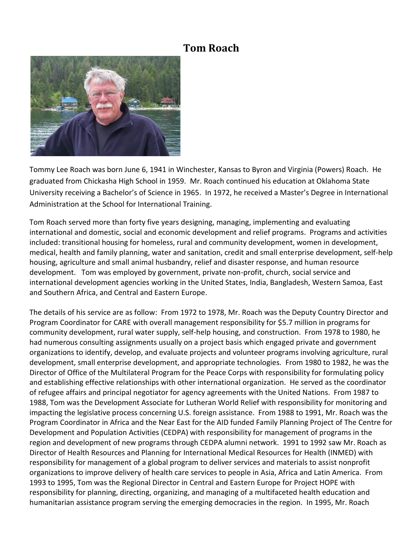## **Tom Roach**



Tommy Lee Roach was born June 6, 1941 in Winchester, Kansas to Byron and Virginia (Powers) Roach. He graduated from Chickasha High School in 1959. Mr. Roach continued his education at Oklahoma State University receiving a Bachelor's of Science in 1965. In 1972, he received a Master's Degree in International Administration at the School for International Training.

Tom Roach served more than forty five years designing, managing, implementing and evaluating international and domestic, social and economic development and relief programs. Programs and activities included: transitional housing for homeless, rural and community development, women in development, medical, health and family planning, water and sanitation, credit and small enterprise development, self-help housing, agriculture and small animal husbandry, relief and disaster response, and human resource development. Tom was employed by government, private non-profit, church, social service and international development agencies working in the United States, India, Bangladesh, Western Samoa, East and Southern Africa, and Central and Eastern Europe.

The details of his service are as follow: From 1972 to 1978, Mr. Roach was the Deputy Country Director and Program Coordinator for CARE with overall management responsibility for \$5.7 million in programs for community development, rural water supply, self-help housing, and construction. From 1978 to 1980, he had numerous consulting assignments usually on a project basis which engaged private and government organizations to identify, develop, and evaluate projects and volunteer programs involving agriculture, rural development, small enterprise development, and appropriate technologies. From 1980 to 1982, he was the Director of Office of the Multilateral Program for the Peace Corps with responsibility for formulating policy and establishing effective relationships with other international organization. He served as the coordinator of refugee affairs and principal negotiator for agency agreements with the United Nations. From 1987 to 1988, Tom was the Development Associate for Lutheran World Relief with responsibility for monitoring and impacting the legislative process concerning U.S. foreign assistance. From 1988 to 1991, Mr. Roach was the Program Coordinator in Africa and the Near East for the AID funded Family Planning Project of The Centre for Development and Population Activities (CEDPA) with responsibility for management of programs in the region and development of new programs through CEDPA alumni network. 1991 to 1992 saw Mr. Roach as Director of Health Resources and Planning for International Medical Resources for Health (INMED) with responsibility for management of a global program to deliver services and materials to assist nonprofit organizations to improve delivery of health care services to people in Asia, Africa and Latin America. From 1993 to 1995, Tom was the Regional Director in Central and Eastern Europe for Project HOPE with responsibility for planning, directing, organizing, and managing of a multifaceted health education and humanitarian assistance program serving the emerging democracies in the region. In 1995, Mr. Roach